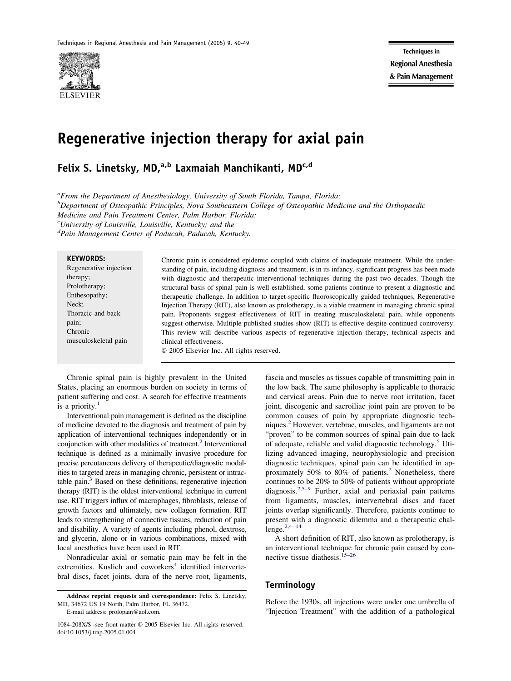

# **Regenerative injection therapy for axial pain**

**Felix S. Linetsky, MD,a,b Laxmaiah Manchikanti, MDc,d**

*a From the Department of Anesthesiology, University of South Florida, Tampa, Florida;*

*b Department of Osteopathic Principles, Nova Southeastern College of Osteopathic Medicine and the Orthopaedic*

*Medicine and Pain Treatment Center, Palm Harbor, Florida; c University of Louisville, Louisville, Kentucky; and the*

*d Pain Management Center of Paducah, Paducah, Kentucky.*

| <b>KEYWORDS:</b>       |
|------------------------|
| Regenerative injection |
| therapy;               |
| Prolotherapy;          |
| Enthesopathy;          |
| Neck;                  |
| Thoracic and back      |
| pain;                  |
| Chronic                |
| musculoskeletal pain   |
|                        |

Chronic pain is considered epidemic coupled with claims of inadequate treatment. While the understanding of pain, including diagnosis and treatment, is in its infancy, significant progress has been made with diagnostic and therapeutic interventional techniques during the past two decades. Though the structural basis of spinal pain is well established, some patients continue to present a diagnostic and therapeutic challenge. In addition to target-specific fluoroscopically guided techniques, Regenerative Injection Therapy (RIT), also known as prolotherapy, is a viable treatment in managing chronic spinal pain. Proponents suggest effectiveness of RIT in treating musculoskeletal pain, while opponents suggest otherwise. Multiple published studies show (RIT) is effective despite continued controversy. This review will describe various aspects of regenerative injection therapy, technical aspects and clinical effectiveness.

© 2005 Elsevier Inc. All rights reserved.

Chronic spinal pain is highly prevalent in the United States, placing an enormous burden on society in terms of patient suffering and cost. A search for effective treatments is a priority. $<sup>1</sup>$ </sup>

Interventional pain management is defined as the discipline of medicine devoted to the diagnosis and treatment of pain by application of interventional techniques independently or in conjunction with other modalities of treatment.<sup>2</sup> Interventional technique is defined as a minimally invasive procedure for precise percutaneous delivery of therapeutic/diagnostic modalities to targeted areas in managing chronic, persistent or intractable pain. $3$  Based on these definitions, regenerative injection therapy (RIT) is the oldest interventional technique in current use. RIT triggers influx of macrophages, fibroblasts, release of growth factors and ultimately, new collagen formation. RIT leads to strengthening of connective tissues, reduction of pain and disability. A variety of agents including phenol, dextrose, and glycerin, alone or in various combinations, mixed with local anesthetics have been used in RIT.

Nonradicular axial or somatic pain may be felt in the extremities. Kuslich and coworkers<sup>4</sup> identified intervertebral discs, facet joints, dura of the nerve root, ligaments,

E-mail address: prolopain@aol.com.

fascia and muscles as tissues capable of transmitting pain in the low back. The same philosophy is applicable to thoracic and cervical areas. Pain due to nerve root irritation, facet joint, discogenic and sacroiliac joint pain are proven to be common causes of pain by appropriate diagnostic techniques[.2](#page-7-0) However, vertebrae, muscles, and ligaments are not "proven" to be common sources of spinal pain due to lack of adequate, reliable and valid diagnostic technology[.5](#page-7-0) Utilizing advanced imaging, neurophysiologic and precision diagnostic techniques, spinal pain can be identified in approximately 50% to 80% of patients.<sup>2</sup> Nonetheless, there continues to be 20% to 50% of patients without appropriate diagnosis[.2,5–9](#page-7-0) Further, axial and periaxial pain patterns from ligaments, muscles, intervertebral discs and facet joints overlap significantly. Therefore, patients continue to present with a diagnostic dilemma and a therapeutic challenge. $^{2,4-14}$ 

A short definition of RIT, also known as prolotherapy, is an interventional technique for chronic pain caused by connective tissue diathesis.<sup>15–26</sup>

# **Terminology**

Before the 1930s, all injections were under one umbrella of "Injection Treatment" with the addition of a pathological

**Address reprint requests and correspondence:** Felix S. Linetsky, MD, 34672 US 19 North, Palm Harbor, FL 36472.

<sup>1084-208</sup>X/\$ -see front matter © 2005 Elsevier Inc. All rights reserved. doi:10.1053/j.trap.2005.01.004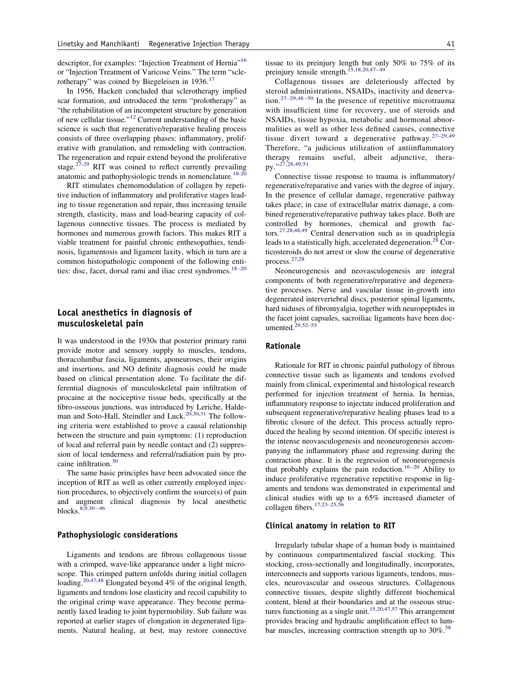descriptor, for examples: "Injection Treatment of Hernia"<sup>16</sup> or "Injection Treatment of Varicose Veins." The term "sclerotherapy" was coined by Biegeleisen in 1936.<sup>17</sup>

In 1956, Hackett concluded that sclerotherapy implied scar formation, and introduced the term "prolotherapy" as "the rehabilitation of an incompetent structure by generation of new cellular tissue.["12](#page-7-0) Current understanding of the basic science is such that regenerative/reparative healing process consists of three overlapping phases: inflammatory, proliferative with granulation, and remodeling with contraction. The regeneration and repair extend beyond the proliferative stage[.27-29](#page-7-0) RIT was coined to reflect currently prevailing anatomic and pathophysiologic trends in nomenclature.<sup>18-20</sup>

RIT stimulates chemomodulation of collagen by repetitive induction of inflammatory and proliferative stages leading to tissue regeneration and repair, thus increasing tensile strength, elasticity, mass and load-bearing capacity of collagenous connective tissues. The process is mediated by hormones and numerous growth factors. This makes RIT a viable treatment for painful chronic enthesopathies, tendinosis, ligamentosis and ligament laxity, which in turn are a common histopathologic component of the following entities: disc, facet, dorsal rami and iliac crest syndromes.<sup>18-20</sup>

# **Local anesthetics in diagnosis of musculoskeletal pain**

It was understood in the 1930s that posterior primary rami provide motor and sensory supply to muscles, tendons, thoracolumbar fascia, ligaments, aponeuroses, their origins and insertions, and NO definite diagnosis could be made based on clinical presentation alone. To facilitate the differential diagnosis of musculoskeletal pain infiltration of procaine at the nociceptive tissue beds, specifically at the fibro-osseous junctions, was introduced by Leriche, Haldeman and Soto-Hall, Steindler and Luck.<sup>20,30,31</sup> The following criteria were established to prove a causal relationship between the structure and pain symptoms: (1) reproduction of local and referral pain by needle contact and (2) suppression of local tenderness and referral/radiation pain by procaine infiltration.<sup>30</sup>

The same basic principles have been advocated since the inception of RIT as well as other currently employed injection procedures, to objectively confirm the source(s) of pain and augment clinical diagnosis by local anesthetic blocks. 8,9,30-46

#### **Pathophysiologic considerations**

Ligaments and tendons are fibrous collagenous tissue with a crimped, wave-like appearance under a light microscope. This crimped pattern unfolds during initial collagen loading.<sup>20,47,48</sup> Elongated beyond 4% of the original length, ligaments and tendons lose elasticity and recoil capability to the original crimp wave appearance. They become permanently laxed leading to joint hypermobility. Sub failure was reported at earlier stages of elongation in degenerated ligaments. Natural healing, at best, may restore connective

Collagenous tissues are deleteriously affected by steroid administrations, NSAIDs, inactivity and denervation.[27–29,48 –50](#page-7-0) In the presence of repetitive microtrauma with insufficient time for recovery, use of steroids and NSAIDs, tissue hypoxia, metabolic and hormonal abnormalities as well as other less defined causes, connective tissue divert toward a degenerative pathway.[27–29,49](#page-7-0) Therefore, "a judicious utilization of antiinflammatory therapy remains useful, albeit adjunctive, therapy."[27,28,49,51](#page-7-0)

Connective tissue response to trauma is inflammatory/ regenerative/reparative and varies with the degree of injury. In the presence of cellular damage, regenerative pathway takes place; in case of extracellular matrix damage, a combined regenerative/reparative pathway takes place. Both are controlled by hormones, chemical and growth factors[.27,28,48,49](#page-7-0) Central denervation such as in quadriplegia leads to a statistically high, accelerated degeneration.<sup>28</sup> Corticosteroids do not arrest or slow the course of degenerative process[.27,28](#page-7-0)

Neoneurogenesis and neovasculogenesis are integral components of both regenerative/reparative and degenerative processes. Nerve and vascular tissue in-growth into degenerated intervertebral discs, posterior spinal ligaments, hard niduses of fibromyalgia, together with neuropeptides in the facet joint capsules, sacroiliac ligaments have been documented[.29,52–55](#page-7-0)

## **Rationale**

Rationale for RIT in chronic painful pathology of fibrous connective tissue such as ligaments and tendons evolved mainly from clinical, experimental and histological research performed for injection treatment of hernia. In hernias, inflammatory response to injectate induced proliferation and subsequent regenerative/reparative healing phases lead to a fibrotic closure of the defect. This process actually reproduced the healing by second intention. Of specific interest is the intense neovasculogenesis and neoneurogenesis accompanying the inflammatory phase and regressing during the contraction phase. It is the regression of neoneurogenesis that probably explains the pain reduction.<sup>16-20</sup> Ability to induce proliferative regenerative repetitive response in ligaments and tendons was demonstrated in experimental and clinical studies with up to a 65% increased diameter of collagen fibers.<sup>17,23-25,56</sup>

#### **Clinical anatomy in relation to RIT**

Irregularly tubular shape of a human body is maintained by continuous compartmentalized fascial stocking. This stocking, cross-sectionally and longitudinally, incorporates, interconnects and supports various ligaments, tendons, muscles, neurovascular and osseous structures. Collagenous connective tissues, despite slightly different biochemical content, blend at their boundaries and at the osseous structures functioning as a single unit.<sup>15,20,47,57</sup> This arrangement provides bracing and hydraulic amplification effect to lumbar muscles, increasing contraction strength up to  $30\%$ .<sup>58</sup>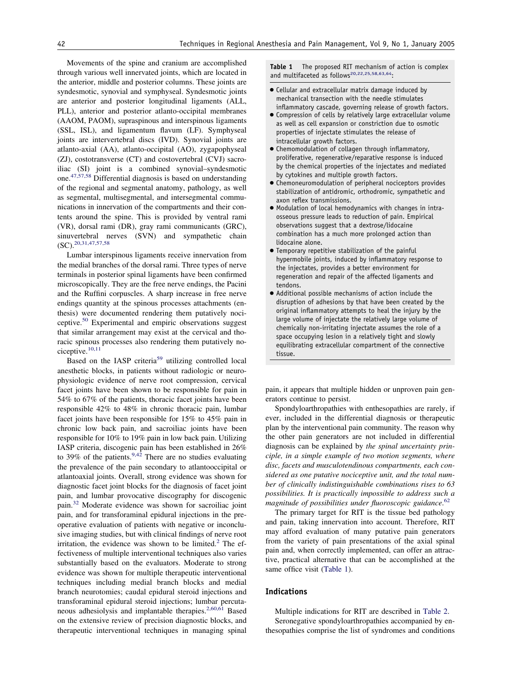Movements of the spine and cranium are accomplished through various well innervated joints, which are located in the anterior, middle and posterior columns. These joints are syndesmotic, synovial and symphyseal. Syndesmotic joints are anterior and posterior longitudinal ligaments (ALL, PLL), anterior and posterior atlanto-occipital membranes (AAOM, PAOM), supraspinous and interspinous ligaments (SSL, ISL), and ligamentum flavum (LF). Symphyseal joints are intervertebral discs (IVD). Synovial joints are atlanto-axial (AA), atlanto-occipital (AO), zygapophyseal (ZJ), costotransverse (CT) and costovertebral (CVJ) sacroiliac (SI) joint is a combined synovial–syndesmotic one[.47,57,58](#page-8-0) Differential diagnosis is based on understanding of the regional and segmental anatomy, pathology, as well as segmental, multisegmental, and intersegmental communications in innervation of the compartments and their contents around the spine. This is provided by ventral rami (VR), dorsal rami (DR), gray rami communicants (GRC), sinuvertebral nerves (SVN) and sympathetic chain  $SC<sup>20,31,47,57,58</sup>$ 

Lumbar interspinous ligaments receive innervation from the medial branches of the dorsal rami. Three types of nerve terminals in posterior spinal ligaments have been confirmed microscopically. They are the free nerve endings, the Pacini and the Ruffini corpuscles. A sharp increase in free nerve endings quantity at the spinous processes attachments (enthesis) were documented rendering them putatively nociceptive[.50](#page-8-0) Experimental and empiric observations suggest that similar arrangement may exist at the cervical and thoracic spinous processes also rendering them putatively nociceptive.<sup>10,11</sup>

Based on the IASP criteria<sup>59</sup> utilizing controlled local anesthetic blocks, in patients without radiologic or neurophysiologic evidence of nerve root compression, cervical facet joints have been shown to be responsible for pain in 54% to 67% of the patients, thoracic facet joints have been responsible 42% to 48% in chronic thoracic pain, lumbar facet joints have been responsible for 15% to 45% pain in chronic low back pain, and sacroiliac joints have been responsible for 10% to 19% pain in low back pain. Utilizing IASP criteria, discogenic pain has been established in 26% to 39% of the patients. <sup>9,42</sup> There are no studies evaluating the prevalence of the pain secondary to atlantooccipital or atlantoaxial joints. Overall, strong evidence was shown for diagnostic facet joint blocks for the diagnosis of facet joint pain, and lumbar provocative discography for discogenic pain[.32](#page-7-0) Moderate evidence was shown for sacroiliac joint pain, and for transforaminal epidural injections in the preoperative evaluation of patients with negative or inconclusive imaging studies, but with clinical findings of nerve root irritation, the evidence was shown to be limited. $2$  The effectiveness of multiple interventional techniques also varies substantially based on the evaluators. Moderate to strong evidence was shown for multiple therapeutic interventional techniques including medial branch blocks and medial branch neurotomies; caudal epidural steroid injections and transforaminal epidural steroid injections; lumbar percutaneous adhesiolysis and implantable therapies. $2,60,61$  Based on the extensive review of precision diagnostic blocks, and therapeutic interventional techniques in managing spinal

**Table 1** The proposed RIT mechanism of action is complex and multifaceted as follows<sup>20,22,25,58,63,64</sup>:

- Cellular and extracellular matrix damage induced by mechanical transection with the needle stimulates inflammatory cascade, governing release of growth factors.
- Compression of cells by relatively large extracellular volume as well as cell expansion or constriction due to osmotic properties of injectate stimulates the release of intracellular growth factors.
- Chemomodulation of collagen through inflammatory, proliferative, regenerative/reparative response is induced by the chemical properties of the injectates and mediated by cytokines and multiple growth factors.
- Chemoneuromodulation of peripheral nociceptors provides stabilization of antidromic, orthodromic, sympathetic and axon reflex transmissions.
- Modulation of local hemodynamics with changes in intraosseous pressure leads to reduction of pain. Empirical observations suggest that a dextrose/lidocaine combination has a much more prolonged action than lidocaine alone.
- Temporary repetitive stabilization of the painful hypermobile joints, induced by inflammatory response to the injectates, provides a better environment for regeneration and repair of the affected ligaments and tendons.
- Additional possible mechanisms of action include the disruption of adhesions by that have been created by the original inflammatory attempts to heal the injury by the large volume of injectate the relatively large volume of chemically non-irritating injectate assumes the role of a space occupying lesion in a relatively tight and slowly equilibrating extracellular compartment of the connective tissue.

pain, it appears that multiple hidden or unproven pain generators continue to persist.

Spondyloarthropathies with enthesopathies are rarely, if ever, included in the differential diagnosis or therapeutic plan by the interventional pain community. The reason why the other pain generators are not included in differential diagnosis can be explained by *the spinal uncertainty principle, in a simple example of two motion segments, where disc, facets and musculotendinous compartments, each considered as one putative nociceptive unit, and the total number of clinically indistinguishable combinations rises to 63 possibilities. It is practically impossible to address such a magnitude of possibilities under fluoroscopic guidance*. [62](#page-8-0)

The primary target for RIT is the tissue bed pathology and pain, taking innervation into account. Therefore, RIT may afford evaluation of many putative pain generators from the variety of pain presentations of the axial spinal pain and, when correctly implemented, can offer an attractive, practical alternative that can be accomplished at the same office visit (Table 1).

### **Indications**

Multiple indications for RIT are described in [Table 2.](#page-3-0) Seronegative spondyloarthropathies accompanied by enthesopathies comprise the list of syndromes and conditions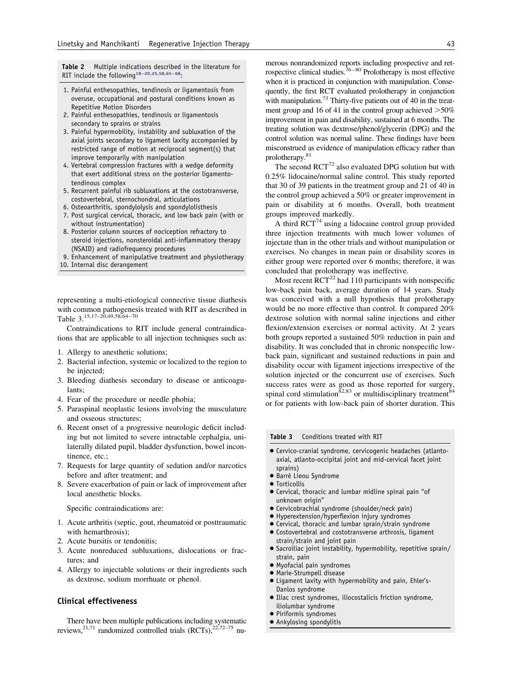<span id="page-3-0"></span>**Table 2** Multiple indications described in the literature for RIT include the following<sup>18-20,25,58,65-68</sup>:

- 1. Painful enthesopathies, tendinosis or ligamentosis from overuse, occupational and postural conditions known as Repetitive Motion Disorders
- 2. Painful enthesopathies, tendinosis or ligamentosis secondary to sprains or strains
- 3. Painful hypermobility, instability and subluxation of the axial joints secondary to ligament laxity accompanied by restricted range of motion at reciprocal segment(s) that improve temporarily with manipulation
- 4. Vertebral compression fractures with a wedge deformity that exert additional stress on the posterior ligamentotendinous complex
- 5. Recurrent painful rib subluxations at the costotransverse, costovertebral, sternochondral, articulations
- 6. Osteoarthritis, spondylolysis and spondylolisthesis
- 7. Post surgical cervical, thoracic, and low back pain (with or without instrumentation)
- 8. Posterior column sources of nociception refractory to steroid injections, nonsteroidal anti-inflammatory therapy (NSAID) and radiofrequency procedures
- 9. Enhancement of manipulative treatment and physiotherapy
- 10. Internal disc derangement

representing a multi-etiological connective tissue diathesis with common pathogenesis treated with RIT as described in Table 3.<sup>15,17–20,49,58,64–70</sup>

Contraindications to RIT include general contraindications that are applicable to all injection techniques such as:

- 1. Allergy to anesthetic solutions;
- 2. Bacterial infection, systemic or localized to the region to be injected;
- 3. Bleeding diathesis secondary to disease or anticoagulants;
- 4. Fear of the procedure or needle phobia;
- 5. Paraspinal neoplastic lesions involving the musculature and osseous structures;
- 6. Recent onset of a progressive neurologic deficit including but not limited to severe intractable cephalgia, unilaterally dilated pupil, bladder dysfunction, bowel incontinence, etc.;
- 7. Requests for large quantity of sedation and/or narcotics before and after treatment; and
- 8. Severe exacerbation of pain or lack of improvement after local anesthetic blocks.

Specific contraindications are:

- 1. Acute arthritis (septic, gout, rheumatoid or posttraumatic with hemarthrosis);
- 2. Acute bursitis or tendonitis;
- 3. Acute nonreduced subluxations, dislocations or fractures; and
- 4. Allergy to injectable solutions or their ingredients such as dextrose, sodium morrhuate or phenol.

#### **Clinical effectiveness**

There have been multiple publications including systematic reviews,<sup>21,71</sup> randomized controlled trials (RCTs),<sup>22,72–75</sup> numerous nonrandomized reports including prospective and retrospective clinical studies.<sup>76–80</sup> Prolotherapy is most effective when it is practiced in conjunction with manipulation. Consequently, the first RCT evaluated prolotherapy in conjunction with manipulation.<sup>73</sup> Thirty-five patients out of 40 in the treatment group and 16 of 41 in the control group achieved  $>50\%$ improvement in pain and disability, sustained at 6 months. The treating solution was dextrose/phenol/glycerin (DPG) and the control solution was normal saline. These findings have been misconstrued as evidence of manipulation efficacy rather than prolotherapy[.81](#page-8-0)

The second  $\mathrm{RCT}^{72}$  also evaluated DPG solution but with 0.25% lidocaine/normal saline control. This study reported that 30 of 39 patients in the treatment group and 21 of 40 in the control group achieved a 50% or greater improvement in pain or disability at 6 months. Overall, both treatment groups improved markedly.

A third  $RCT<sup>74</sup>$  using a lidocaine control group provided three injection treatments with much lower volumes of injectate than in the other trials and without manipulation or exercises. No changes in mean pain or disability scores in either group were reported over 6 months; therefore, it was concluded that prolotherapy was ineffective.

Most recent  $RCT^{22}$  had 110 participants with nonspecific low-back pain back, average duration of 14 years. Study was conceived with a null hypothesis that prolotherapy would be no more effective than control. It compared 20% dextrose solution with normal saline injections and either flexion/extension exercises or normal activity. At 2 years both groups reported a sustained 50% reduction in pain and disability. It was concluded that in chronic nonspecific lowback pain, significant and sustained reductions in pain and disability occur with ligament injections irrespective of the solution injected or the concurrent use of exercises. Such success rates were as good as those reported for surgery, spinal cord stimulation<sup>82,83</sup> or multidisciplinary treatment<sup>84</sup> or for patients with low-back pain of shorter duration. This

**Table 3** Conditions treated with RIT

- Cervico-cranial syndrome, cervicogenic headaches (atlantoaxial, atlanto-occipital joint and mid-cervical facet joint sprains)
- Barré Lieou Syndrome
- Torticollis
- Cervical, thoracic and lumbar midline spinal pain "of unknown origin"
- Cervicobrachial syndrome (shoulder/neck pain)
- Hyperextension/hyperflexion injury syndromes
- Cervical, thoracic and lumbar sprain/strain syndrome
- Costovertebral and costotransverse arthrosis, ligament strain/strain and joint pain
- Sacroiliac joint instability, hypermobility, repetitive sprain/ strain, pain
- Myofacial pain syndromes
- Marie-Strumpell disease
- Ligament laxity with hypermobility and pain, Ehler's-Danlos syndrome
- Iliac crest syndromes, iliocostalicis friction syndrome, iliolumbar syndrome
- Piriformis syndromes
- Ankylosing spondylitis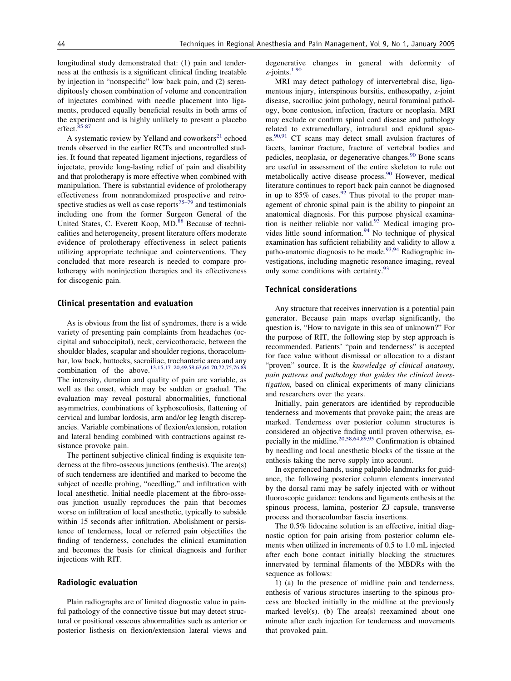longitudinal study demonstrated that: (1) pain and tenderness at the enthesis is a significant clinical finding treatable by injection in "nonspecific" low back pain, and (2) serendipitously chosen combination of volume and concentration of injectates combined with needle placement into ligaments, produced equally beneficial results in both arms of the experiment and is highly unlikely to present a placebo effect. 85-87

A systematic review by Yelland and coworkers $^{21}$  echoed trends observed in the earlier RCTs and uncontrolled studies. It found that repeated ligament injections, regardless of injectate, provide long-lasting relief of pain and disability and that prolotherapy is more effective when combined with manipulation. There is substantial evidence of prolotherapy effectiveness from nonrandomized prospective and retrospective studies as well as case reports<sup>75–79</sup> and testimonials including one from the former Surgeon General of the United States, C. Everett Koop, MD.<sup>88</sup> Because of technicalities and heterogeneity, present literature offers moderate evidence of prolotherapy effectiveness in select patients utilizing appropriate technique and cointerventions. They concluded that more research is needed to compare prolotherapy with noninjection therapies and its effectiveness for discogenic pain.

## **Clinical presentation and evaluation**

As is obvious from the list of syndromes, there is a wide variety of presenting pain complaints from headaches (occipital and suboccipital), neck, cervicothoracic, between the shoulder blades, scapular and shoulder regions, thoracolumbar, low back, buttocks, sacroiliac, trochanteric area and any combination of the above.<sup>13,15,17–20,49,58,63,64-70,72,75,76,89</sup> The intensity, duration and quality of pain are variable, as well as the onset, which may be sudden or gradual. The evaluation may reveal postural abnormalities, functional asymmetries, combinations of kyphoscoliosis, flattening of cervical and lumbar lordosis, arm and/or leg length discrepancies. Variable combinations of flexion/extension, rotation and lateral bending combined with contractions against resistance provoke pain.

The pertinent subjective clinical finding is exquisite tenderness at the fibro-osseous junctions (enthesis). The area(s) of such tenderness are identified and marked to become the subject of needle probing, "needling," and infiltration with local anesthetic. Initial needle placement at the fibro-osseous junction usually reproduces the pain that becomes worse on infiltration of local anesthetic, typically to subside within 15 seconds after infiltration. Abolishment or persistence of tenderness, local or referred pain objectifies the finding of tenderness, concludes the clinical examination and becomes the basis for clinical diagnosis and further injections with RIT.

#### **Radiologic evaluation**

Plain radiographs are of limited diagnostic value in painful pathology of the connective tissue but may detect structural or positional osseous abnormalities such as anterior or posterior listhesis on flexion/extension lateral views and

degenerative changes in general with deformity of z-joints.<sup>1,90</sup>

MRI may detect pathology of intervertebral disc, ligamentous injury, interspinous bursitis, enthesopathy, z-joint disease, sacroiliac joint pathology, neural foraminal pathology, bone contusion, infection, fracture or neoplasia. MRI may exclude or confirm spinal cord disease and pathology related to extramedullary, intradural and epidural spaces.<sup>90,91</sup> CT scans may detect small avulsion fractures of facets, laminar fracture, fracture of vertebral bodies and pedicles, neoplasia, or degenerative changes.<sup>90</sup> Bone scans are useful in assessment of the entire skeleton to rule out metabolically active disease process.<sup>90</sup> However, medical literature continues to report back pain cannot be diagnosed in up to  $85\%$  of cases.<sup>92</sup> Thus pivotal to the proper management of chronic spinal pain is the ability to pinpoint an anatomical diagnosis. For this purpose physical examination is neither reliable nor valid. $93$  Medical imaging provides little sound information.<sup>94</sup> No technique of physical examination has sufficient reliability and validity to allow a patho-anatomic diagnosis to be made.<sup>93,94</sup> Radiographic investigations, including magnetic resonance imaging, reveal only some conditions with certainty.<sup>93</sup>

#### **Technical considerations**

Any structure that receives innervation is a potential pain generator. Because pain maps overlap significantly, the question is, "How to navigate in this sea of unknown?" For the purpose of RIT, the following step by step approach is recommended. Patients' "pain and tenderness" is accepted for face value without dismissal or allocation to a distant "proven" source. It is the *knowledge of clinical anatomy, pain patterns and pathology that guides the clinical investigation,* based on clinical experiments of many clinicians and researchers over the years.

Initially, pain generators are identified by reproducible tenderness and movements that provoke pain; the areas are marked. Tenderness over posterior column structures is considered an objective finding until proven otherwise, especially in the midline.<sup>20,58,64,89,95</sup> Confirmation is obtained by needling and local anesthetic blocks of the tissue at the enthesis taking the nerve supply into account.

In experienced hands, using palpable landmarks for guidance, the following posterior column elements innervated by the dorsal rami may be safely injected with or without fluoroscopic guidance: tendons and ligaments enthesis at the spinous process, lamina, posterior ZJ capsule, transverse process and thoracolumbar fascia insertions.

The 0.5% lidocaine solution is an effective, initial diagnostic option for pain arising from posterior column elements when utilized in increments of 0.5 to 1.0 mL injected after each bone contact initially blocking the structures innervated by terminal filaments of the MBDRs with the sequence as follows:

1) (a) In the presence of midline pain and tenderness, enthesis of various structures inserting to the spinous process are blocked initially in the midline at the previously marked level(s). (b) The area(s) reexamined about one minute after each injection for tenderness and movements that provoked pain.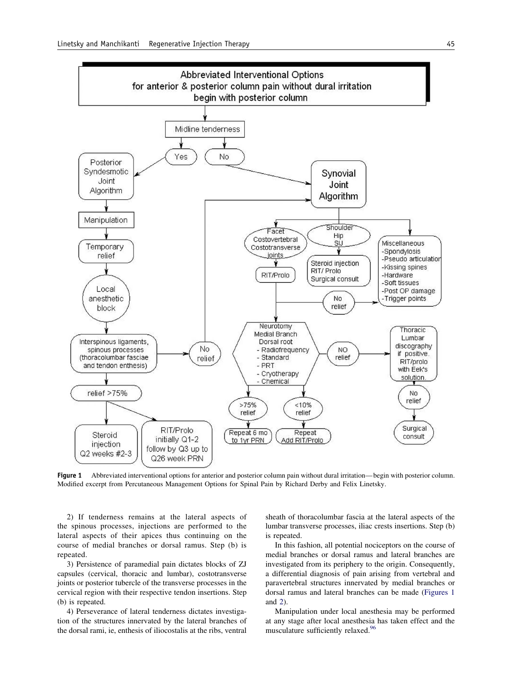

Figure 1 Abbreviated interventional options for anterior and posterior column pain without dural irritation— begin with posterior column. Modified excerpt from Percutaneous Management Options for Spinal Pain by Richard Derby and Felix Linetsky.

2) If tenderness remains at the lateral aspects of the spinous processes, injections are performed to the lateral aspects of their apices thus continuing on the course of medial branches or dorsal ramus. Step (b) is repeated.

3) Persistence of paramedial pain dictates blocks of ZJ capsules (cervical, thoracic and lumbar), costotransverse joints or posterior tubercle of the transverse processes in the cervical region with their respective tendon insertions. Step (b) is repeated.

4) Perseverance of lateral tenderness dictates investigation of the structures innervated by the lateral branches of the dorsal rami, ie, enthesis of iliocostalis at the ribs, ventral

sheath of thoracolumbar fascia at the lateral aspects of the lumbar transverse processes, iliac crests insertions. Step (b) is repeated.

In this fashion, all potential nociceptors on the course of medial branches or dorsal ramus and lateral branches are investigated from its periphery to the origin. Consequently, a differential diagnosis of pain arising from vertebral and paravertebral structures innervated by medial branches or dorsal ramus and lateral branches can be made (Figures 1 and [2\)](#page-6-0).

Manipulation under local anesthesia may be performed at any stage after local anesthesia has taken effect and the musculature sufficiently relaxed[.96](#page-9-0)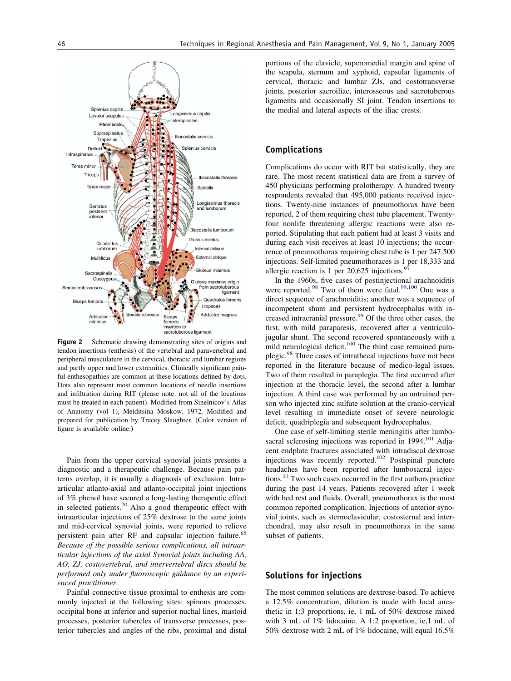<span id="page-6-0"></span>

**Figure 2** Schematic drawing demonstrating sites of origins and tendon insertions (enthesis) of the vertebral and paravertebral and peripheral musculature in the cervical, thoracic and lumbar regions and partly upper and lower extremities. Clinically significant painful enthesopathies are common at these locations defined by dots. Dots also represent most common locations of needle insertions and infiltration during RIT (please note: not all of the locations must be treated in each patient). Modified from Sinelnicov's Atlas of Anatomy (vol 1), Meiditsina Moskow, 1972. Modified and prepared for publication by Tracey Slaughter. (Color version of figure is available online.)

Pain from the upper cervical synovial joints presents a diagnostic and a therapeutic challenge. Because pain patterns overlap, it is usually a diagnosis of exclusion. Intraarticular atlanto-axial and atlanto-occipital joint injections of 3% phenol have secured a long-lasting therapeutic effect in selected patients.<sup>70</sup> Also a good therapeutic effect with intraarticular injections of 25% dextrose to the same joints and mid-cervical synovial joints, were reported to relieve persistent pain after RF and capsular injection failure.<sup>65</sup> *Because of the possible serious complications, all intraarticular injections of the axial Synovial joints including AA, AO, ZJ, costovertebral, and intervertebral discs should be performed only under fluoroscopic guidance by an experienced practitioner*.

Painful connective tissue proximal to enthesis are commonly injected at the following sites: spinous processes, occipital bone at inferior and superior nuchal lines, mastoid processes, posterior tubercles of transverse processes, posterior tubercles and angles of the ribs, proximal and distal

portions of the clavicle, superomedial margin and spine of the scapula, sternum and xyphoid, capsular ligaments of cervical, thoracic and lumbar ZJs, and costotransverse joints, posterior sacroiliac, interosseous and sacrotuberous ligaments and occasionally SI joint. Tendon insertions to the medial and lateral aspects of the iliac crests.

# **Complications**

Complications do occur with RIT but statistically, they are rare. The most recent statistical data are from a survey of 450 physicians performing prolotherapy. A hundred twenty respondents revealed that 495,000 patients received injections. Twenty-nine instances of pneumothorax have been reported, 2 of them requiring chest tube placement. Twentyfour nonlife threatening allergic reactions were also reported. Stipulating that each patient had at least 3 visits and during each visit receives at least 10 injections; the occurrence of pneumothorax requiring chest tube is 1 per 247,500 injections. Self-limited pneumothoraces is 1 per 18,333 and allergic reaction is 1 per  $20,625$  injections.<sup>9</sup>

In the 1960s, five cases of postinjectional arachnoiditis were reported.<sup>98</sup> Two of them were fatal.<sup>99,100</sup> One was a direct sequence of arachnoiditis; another was a sequence of incompetent shunt and persistent hydrocephalus with increased intracranial pressure.<sup>99</sup> Of the three other cases, the first, with mild paraparesis, recovered after a ventriculojugular shunt. The second recovered spontaneously with a mild neurological deficit.<sup>100</sup> The third case remained paraplegic.<sup>98</sup> Three cases of intrathecal injections have not been reported in the literature because of medico-legal issues. Two of them resulted in paraplegia. The first occurred after injection at the thoracic level, the second after a lumbar injection. A third case was performed by an untrained person who injected zinc sulfate solution at the cranio-cervical level resulting in immediate onset of severe neurologic deficit, quadriplegia and subsequent hydrocephalus.

One case of self-limiting sterile meningitis after lumbosacral sclerosing injections was reported in 1994.<sup>101</sup> Adjacent endplate fractures associated with intradiscal dextrose injections was recently reported[.102](#page-9-0) Postspinal puncture headaches have been reported after lumbosacral injections[.22](#page-7-0) Two such cases occurred in the first authors practice during the past 14 years. Patients recovered after 1 week with bed rest and fluids. Overall, pneumothorax is the most common reported complication. Injections of anterior synovial joints, such as sternoclavicular, costosternal and interchondral, may also result in pneumothorax in the same subset of patients.

# **Solutions for injections**

The most common solutions are dextrose-based. To achieve a 12.5% concentration, dilution is made with local anesthetic in 1:3 proportions, ie, 1 mL of 50% dextrose mixed with 3 mL of 1% lidocaine. A 1:2 proportion, ie,1 mL of 50% dextrose with 2 mL of 1% lidocaine, will equal 16.5%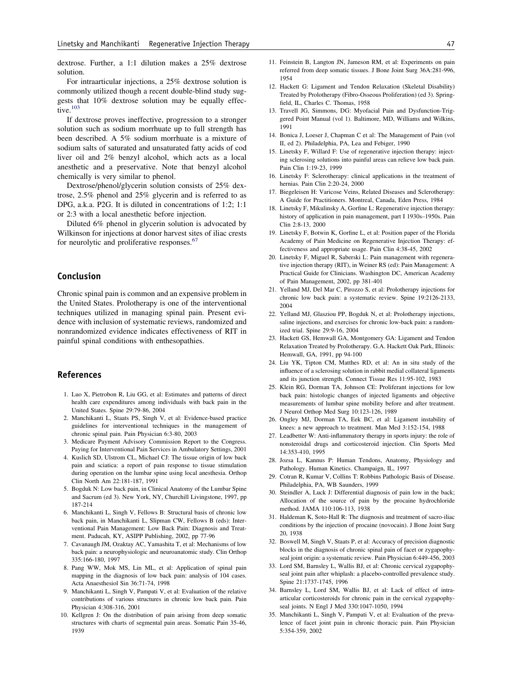<span id="page-7-0"></span>dextrose. Further, a 1:1 dilution makes a 25% dextrose solution.

For intraarticular injections, a 25% dextrose solution is commonly utilized though a recent double-blind study suggests that 10% dextrose solution may be equally effective. $103$ 

If dextrose proves ineffective, progression to a stronger solution such as sodium morrhuate up to full strength has been described. A 5% sodium morrhuate is a mixture of sodium salts of saturated and unsaturated fatty acids of cod liver oil and 2% benzyl alcohol, which acts as a local anesthetic and a preservative. Note that benzyl alcohol chemically is very similar to phenol.

Dextrose/phenol/glycerin solution consists of 25% dextrose, 2.5% phenol and 25% glycerin and is referred to as DPG, a.k.a. P2G. It is diluted in concentrations of 1:2; 1:1 or 2:3 with a local anesthetic before injection.

Diluted 6% phenol in glycerin solution is advocated by Wilkinson for injections at donor harvest sites of iliac crests for neurolytic and proliferative responses.<sup>67</sup>

# **Conclusion**

Chronic spinal pain is common and an expensive problem in the United States. Prolotherapy is one of the interventional techniques utilized in managing spinal pain. Present evidence with inclusion of systematic reviews, randomized and nonrandomized evidence indicates effectiveness of RIT in painful spinal conditions with enthesopathies.

# **References**

- 1. Luo X, Pietrobon R, Liu GG, et al: Estimates and patterns of direct health care expenditures among individuals with back pain in the United States. Spine 29:79-86, 2004
- 2. Manchikanti L, Staats PS, Singh V, et al: Evidence-based practice guidelines for interventional techniques in the management of chronic spinal pain. Pain Physician 6:3-80, 2003
- 3. Medicare Payment Advisory Commission Report to the Congress. Paying for Interventional Pain Services in Ambulatory Settings, 2001
- 4. Kuslich SD, Ulstrom CL, Michael CJ: The tissue origin of low back pain and sciatica: a report of pain response to tissue stimulation during operation on the lumbar spine using local anesthesia. Orthop Clin North Am 22:181-187, 1991
- 5. Bogduk N: Low back pain, in Clinical Anatomy of the Lumbar Spine and Sacrum (ed 3). New York, NY, Churchill Livingstone, 1997, pp 187-214
- 6. Manchikanti L, Singh V, Fellows B: Structural basis of chronic low back pain, in Manchikanti L, Slipman CW, Fellows B (eds): Interventional Pain Management: Low Back Pain: Diagnosis and Treatment. Paducah, KY, ASIPP Publishing, 2002, pp 77-96
- 7. Cavanaugh JM, Ozaktay AC, Yamashita T, et al: Mechanisms of low back pain: a neurophysiologic and neuroanatomic study. Clin Orthop 335:166-180, 1997
- 8. Pang WW, Mok MS, Lin ML, et al: Application of spinal pain mapping in the diagnosis of low back pain: analysis of 104 cases. Acta Anaesthesiol Sin 36:71-74, 1998
- 9. Manchikanti L, Singh V, Pampati V, et al: Evaluation of the relative contributions of various structures in chronic low back pain. Pain Physician 4:308-316, 2001
- 10. Kellgren J: On the distribution of pain arising from deep somatic structures with charts of segmental pain areas. Somatic Pain 35-46, 1939
- 11. Feinstein B, Langton JN, Jameson RM, et al: Experiments on pain referred from deep somatic tissues. J Bone Joint Surg 36A:281-996, 1954
- 12. Hackett G: Ligament and Tendon Relaxation (Skeletal Disability) Treated by Prolotherapy (Fibro-Osseous Proliferation) (ed 3). Springfield, IL, Charles C. Thomas, 1958
- 13. Travell JG, Simmons, DG: Myofacial Pain and Dysfunction-Triggered Point Manual (vol 1). Baltimore, MD, Williams and Wilkins, 1991
- 14. Bonica J, Loeser J, Chapman C et al: The Management of Pain (vol II, ed 2). Philadelphia, PA, Lea and Febiger, 1990
- 15. Linetsky F, Willard F: Use of regenerative injection therapy: injecting sclerosing solutions into painful areas can relieve low back pain. Pain Clin 1:19-23, 1999
- 16. Linetsky F: Sclerotherapy: clinical applications in the treatment of hernias. Pain Clin 2:20-24, 2000
- 17. Biegeleisen H: Varicose Veins, Related Diseases and Sclerotherapy: A Guide for Practitioners. Montreal, Canada, Eden Press, 1984
- 18. Linetsky F, Mikulinsky A, Gorfine L: Regenerative injection therapy: history of application in pain management, part I 1930s–1950s. Pain Clin 2:8-13, 2000
- 19. Linetsky F, Botwin K, Gorfine L, et al: Position paper of the Florida Academy of Pain Medicine on Regenerative Injection Therapy: effectiveness and appropriate usage. Pain Clin 4:38-45, 2002
- 20. Linetsky F, Miguel R, Saberski L: Pain management with regenerative injection therapy (RIT), in Weiner RS (ed): Pain Management: A Practical Guide for Clinicians. Washington DC, American Academy of Pain Management, 2002, pp 381-401
- 21. Yelland MJ, Del Mar C, Pirozzo S, et al: Prolotherapy injections for chronic low back pain: a systematic review. Spine 19:2126-2133, 2004
- 22. Yelland MJ, Glasziou PP, Bogduk N, et al: Prolotherapy injections, saline injections, and exercises for chronic low-back pain: a randomized trial. Spine 29:9-16, 2004
- 23. Hackett GS, Hemwall GA, Montgomery GA: Ligament and Tendon Relaxation Treated by Prolotherapy. G.A. Hackett Oak Park, Illinois: Hemwall, GA, 1991, pp 94-100
- 24. Liu YK, Tipton CM, Matthes RD, et al: An in situ study of the influence of a sclerosing solution in rabbit medial collateral ligaments and its junction strength. Connect Tissue Res 11:95-102, 1983
- 25. Klein RG, Dorman TA, Johnson CE: Proliferant injections for low back pain: histologic changes of injected ligaments and objective measurements of lumbar spine mobility before and after treatment. J Neurol Orthop Med Surg 10:123-126, 1989
- 26. Ongley MJ, Dorman TA, Eek BC, et al: Ligament instability of knees: a new approach to treatment. Man Med 3:152-154, 1988
- 27. Leadbetter W: Anti-inflammatory therapy in sports injury: the role of nonsteroidal drugs and corticosteroid injection. Clin Sports Med 14:353-410, 1995
- 28. Jozsa L, Kannus P: Human Tendons, Anatomy, Physiology and Pathology. Human Kinetics. Champaign, IL, 1997
- 29. Cotran R, Kumar V, Collins T: Robbins Pathologic Basis of Disease. Philadelphia, PA, WB Saunders, 1999
- 30. Steindler A, Luck J: Differential diagnosis of pain low in the back; Allocation of the source of pain by the procaine hydrochloride method. JAMA 110:106-113, 1938
- 31. Haldeman K, Soto-Hall R: The diagnosis and treatment of sacro-iliac conditions by the injection of procaine (novocain). J Bone Joint Surg 20, 1938
- 32. Boswell M, Singh V, Staats P, et al: Accuracy of precision diagnostic blocks in the diagnosis of chronic spinal pain of facet or zygapophyseal joint origin: a systematic review. Pain Physician 6:449-456, 2003
- 33. Lord SM, Barnsley L, Wallis BJ, et al: Chronic cervical zygapophyseal joint pain after whiplash: a placebo-controlled prevalence study. Spine 21:1737-1745, 1996
- 34. Barnsley L, Lord SM, Wallis BJ, et al: Lack of effect of intraarticular corticosteroids for chronic pain in the cervical zygapophyseal joints. N Engl J Med 330:1047-1050, 1994
- 35. Manchikanti L, Singh V, Pampati V, et al: Evaluation of the prevalence of facet joint pain in chronic thoracic pain. Pain Physician 5:354-359, 2002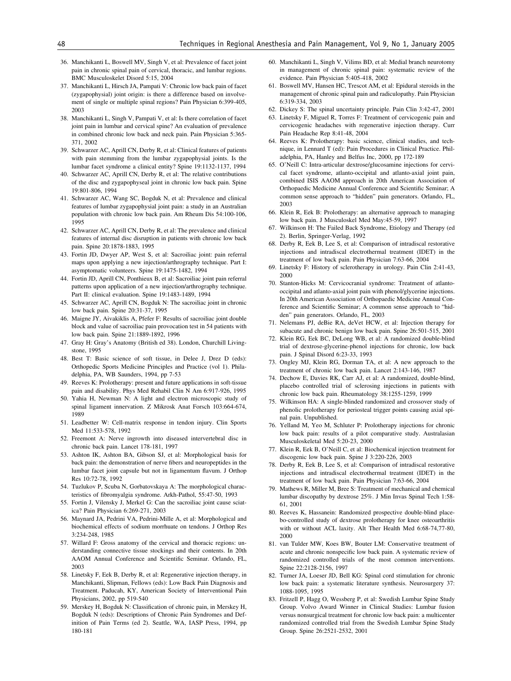- <span id="page-8-0"></span>36. Manchikanti L, Boswell MV, Singh V, et al: Prevalence of facet joint pain in chronic spinal pain of cervical, thoracic, and lumbar regions. BMC Musculoskelet Disord 5:15, 2004
- 37. Manchikanti L, Hirsch JA, Pampati V: Chronic low back pain of facet (zygapophysial) joint origin: is there a difference based on involvement of single or multiple spinal regions? Pain Physician 6:399-405, 2003
- 38. Manchikanti L, Singh V, Pampati V, et al: Is there correlation of facet joint pain in lumbar and cervical spine? An evaluation of prevalence in combined chronic low back and neck pain. Pain Physician 5:365- 371, 2002
- 39. Schwarzer AC, Aprill CN, Derby R, et al: Clinical features of patients with pain stemming from the lumbar zygapophysial joints. Is the lumbar facet syndrome a clinical entity? Spine 19:1132-1137, 1994
- 40. Schwarzer AC, Aprill CN, Derby R, et al: The relative contributions of the disc and zygapophyseal joint in chronic low back pain. Spine 19:801-806, 1994
- 41. Schwarzer AC, Wang SC, Bogduk N, et al: Prevalence and clinical features of lumbar zygapophysial joint pain: a study in an Australian population with chronic low back pain. Am Rheum Dis 54:100-106, 1995
- 42. Schwarzer AC, Aprill CN, Derby R, et al: The prevalence and clinical features of internal disc disruption in patients with chronic low back pain. Spine 20:1878-1883, 1995
- 43. Fortin JD, Dwyer AP, West S, et al: Sacroiliac joint: pain referral maps upon applying a new injection/arthrography technique. Part I: asymptomatic volunteers. Spine 19:1475-1482, 1994
- 44. Fortin JD, Aprill CN, Ponthieux B, et al: Sacroiliac joint pain referral patterns upon application of a new injection/arthrography technique. Part II: clinical evaluation. Spine 19:1483-1489, 1994
- 45. Schwarzer AC, Aprill CN, Bogduk N: The sacroiliac joint in chronic low back pain. Spine 20:31-37, 1995
- 46. Maigne JY, Aivakiklis A, Pfefer F: Results of sacroiliac joint double block and value of sacroiliac pain provocation test in 54 patients with low back pain. Spine 21:1889-1892, 1996
- 47. Gray H: Gray's Anatomy (British ed 38). London, Churchill Livingstone, 1995
- 48. Best T: Basic science of soft tissue, in Delee J, Drez D (eds): Orthopedic Sports Medicine Principles and Practice (vol 1). Philadelphia, PA, WB Saunders, 1994, pp 7-53
- 49. Reeves K: Prolotherapy: present and future applications in soft-tissue pain and disability. Phys Med Rehabil Clin N Am 6:917-926, 1995
- 50. Yahia H, Newman N: A light and electron microscopic study of spinal ligament innervation. Z Mikrosk Anat Forsch 103:664-674, 1989
- 51. Leadbetter W: Cell-matrix response in tendon injury. Clin Sports Med 11:533-578, 1992
- 52. Freemont A: Nerve ingrowth into diseased intervertebral disc in chronic back pain. Lancet 178-181, 1997
- 53. Ashton IK, Ashton BA, Gibson SJ, et al: Morphological basis for back pain: the demonstration of nerve fibers and neuropeptides in the lumbar facet joint capsule but not in ligamentum flavum. J Orthop Res 10:72-78, 1992
- 54. Tuzlukov P, Scuba N, Gorbatovskaya A: The morphological characteristics of fibromyalgia syndrome. Arkh-Pathol, 55:47-50, 1993
- 55. Fortin J, Vilensky J, Merkel G: Can the sacroiliac joint cause sciatica? Pain Physician 6:269-271, 2003
- 56. Maynard JA, Pedrini VA, Pedrini-Mille A, et al: Morphological and biochemical effects of sodium morrhuate on tendons. J Orthop Res 3:234-248, 1985
- 57. Willard F: Gross anatomy of the cervical and thoracic regions: understanding connective tissue stockings and their contents. In 20th AAOM Annual Conference and Scientific Seminar. Orlando, FL, 2003
- 58. Linetsky F, Eek B, Derby R, et al: Regenerative injection therapy, in Manchikanti, Slipman, Fellows (eds): Low Back Pain Diagnosis and Treatment. Paducah, KY, American Society of Interventional Pain Physicians, 2002, pp 519-540
- 59. Merskey H, Bogduk N: Classification of chronic pain, in Merskey H, Bogduk N (eds): Descriptions of Chronic Pain Syndromes and Definition of Pain Terms (ed 2). Seattle, WA, IASP Press, 1994, pp 180-181
- 60. Manchikanti L, Singh V, Vilims BD, et al: Medial branch neurotomy in management of chronic spinal pain: systematic review of the evidence. Pain Physician 5:405-418, 2002
- 61. Boswell MV, Hansen HC, Trescot AM, et al: Epidural steroids in the management of chronic spinal pain and radiculopathy. Pain Physician 6:319-334, 2003
- 62. Dickey S: The spinal uncertainty principle. Pain Clin 3:42-47, 2001
- 63. Linetsky F, Miguel R, Torres F: Treatment of cervicogenic pain and cervicogenic headaches with regenerative injection therapy. Curr Pain Headache Rep 8:41-48, 2004
- 64. Reeves K: Prolotherapy: basic science, clinical studies, and technique, in Lennard T (ed): Pain Procedures in Clinical Practice. Philadelphia, PA, Hanley and Belfus Inc, 2000, pp 172-189
- 65. O'Neill C: Intra-articular dextrose/glucosamine injections for cervical facet syndrome, atlanto-occipital and atlanto-axial joint pain, combined ISIS AAOM approach in 20th American Association of Orthopaedic Medicine Annual Conference and Scientific Seminar; A common sense approach to "hidden" pain generators. Orlando, FL, 2003
- 66. Klein R, Eek B: Prolotherapy: an alternative approach to managing low back pain. J Musculoskel Med May:45-59, 1997
- 67. Wilkinson H: The Failed Back Syndrome, Etiology and Therapy (ed 2). Berlin, Springer-Verlag, 1992
- 68. Derby R, Eek B, Lee S, et al: Comparison of intradiscal restorative injections and intradiscal electrothermal treatment (IDET) in the treatment of low back pain. Pain Physician 7:63-66, 2004
- 69. Linetsky F: History of sclerotherapy in urology. Pain Clin 2:41-43, 2000
- 70. Stanton-Hicks M: Cervicocranial syndrome: Treatment of atlantooccipital and atlanto-axial joint pain with phenol/glycerine injections. In 20th American Association of Orthopaedic Medicine Annual Conference and Scientific Seminar; A common sense approach to "hidden" pain generators. Orlando, FL, 2003
- 71. Nelemans PJ, deBie RA, deVet HCW, et al: Injection therapy for subacute and chronic benign low back pain. Spine 26:501-515, 2001
- 72. Klein RG, Eek BC, DeLong WB, et al: A randomized double-blind trial of dextrose-glycerine-phenol injections for chronic, low back pain. J Spinal Disord 6:23-33, 1993
- 73. Ongley MJ, Klein RG, Dorman TA, et al: A new approach to the treatment of chronic low back pain. Lancet 2:143-146, 1987
- 74. Dechow E, Davies RK, Carr AJ, et al: A randomized, double-blind, placebo controlled trial of sclerosing injections in patients with chronic low back pain. Rheumatology 38:1255-1259, 1999
- 75. Wilkinson HA: A single-blinded randomized and crossover study of phenolic prolotherapy for periosteal trigger points causing axial spinal pain. Unpublished.
- 76. Yelland M, Yeo M, Schluter P: Prolotherapy injections for chronic low back pain: results of a pilot comparative study. Australasian Musculoskeletal Med 5:20-23, 2000
- 77. Klein R, Eek B, O'Neill C, et al: Biochemical injection treatment for discogenic low back pain. Spine J 3:220-226, 2003
- 78. Derby R, Eek B, Lee S, et al: Comparison of intradiscal restorative injections and intradiscal electrothermal treatment (IDET) in the treatment of low back pain. Pain Physician 7:63-66, 2004
- 79. Mathews R, Miller M, Bree S: Treatment of mechanical and chemical lumbar discopathy by dextrose 25%. J Min Invas Spinal Tech 1:58- 61, 2001
- 80. Reeves K, Hassanein: Randomized prospective double-blind placebo-controlled study of dextrose prolotherapy for knee osteoarthritis with or without ACL laxity. Alt Ther Health Med 6:68-74,77-80, 2000
- 81. van Tulder MW, Koes BW, Bouter LM: Conservative treatment of acute and chronic nonspecific low back pain. A systematic review of randomized controlled trials of the most common interventions. Spine 22:2128-2156, 1997
- 82. Turner JA, Loeser JD, Bell KG: Spinal cord stimulation for chronic low back pain: a systematic literature synthesis. Neurosurgery 37: 1088-1095, 1995
- 83. Fritzell P, Hagg O, Wessberg P, et al: Swedish Lumbar Spine Study Group. Volvo Award Winner in Clinical Studies: Lumbar fusion versus nonsurgical treatment for chronic low back pain: a multicenter randomized controlled trial from the Swedish Lumbar Spine Study Group. Spine 26:2521-2532, 2001